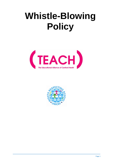# **Whistle-Blowing Policy**



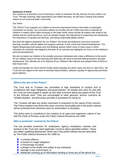#### **Statement of Intent**

Our mission is to promote a love of learning in order to maximise the life chances of every child in our Trust. Through nurturing, high expectations and skilled teaching, we will have a lasting and positive impact on our local and wider community.

### Our Vision

The TEACH Trust supports our children to become empowered citizens that make a meaningful contribution to society. Our curriculum reflects our locality and all it offers and aims to educate all children in matters which affect humanity in the wider world: these include all matters that relate to the climate and the world around us, such as climate change; the importance of respecting and celebrating the importance of equality and diversity; and being responsible global citizens.

We have the highest aspirations for our children: the broad and balanced curriculum promotes learning, provides cultural capital and supports spiritual, moral, social and cultural development. The Rights Respecting Gold awards and Anti Bullying awards reflect some of many ways in which education for character are integral to the work of our schools and highlights our focus on the children's personal development.

We aim to inspire our children to be socially conscious individuals who make a difference to the world. All our children secure the key learning and skills they will need to become lifelong learners and gain employment. Our ultimate aim is to improve all our children's life chances and prepare them to thrive in their future lives.

Under the Equality Act 2010 and the Public Sector Equality Act which came into force in April 2011, the Trust has due regard to the need to eliminate discrimination, advance equality of opportunity and foster good relations.

## **What is the aim of this Policy?**

The Trust and its Trustees are committed to high standards of conduct and to compliance with legal obligations and good practice. All people who work for and with the Trust are encouraged to speak up and raise concerns about any aspect of the Trust or the Schools work. They are encouraged to raise genuine, serious concerns as "whistle-blowers', and this policy provides a procedure for doing so.

The Trustees will take any action necessary in proportion to the nature of the concern. The Policy explains how those who raise concerns reasonably and in the public interest will be protected from detriment such as victimisation or discipline.

This policy aims to contribute to the creation of an open and supportive culture in line with the Code of Practice under the Public Interest Disclosure Act 1998.

## **Who is protected / covered by the Policy?**

The law provides protection for employees; agency employees; trainees and workers in the Trust who raise legitimate concerns about specified matters. These are called 'qualifying disclosures' which are in the public interest and are described by The Public Interest Disclosure Act 1998 as:

- **a** criminal offence;
- **L** a breach of a legal obligation;
- **a** miscarriage of justice;
- $\blacksquare$  a danger to the health and safety of any individual;
- **damage to the environment; or**
- **D** deliberate covering up of information tending to show any of the above five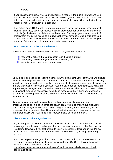matters.

If you reasonably believe that your disclosure is made in the public interest and you comply with this policy, then as a 'whistle blower' you will be protected from any detriment as a result of raising your concern. In particular, you will be protected from harassment or victimisation by a colleague.

The policy does **NOT** apply to raising grievances about an employee's personal situation and thus, does not replace existing procedures for personal differences or conflicts (for instance complaints about breaches of an employee's own contract of employment should be raised as a grievance). If you have concerns in this area you should consult the Trust Grievance Policy or your Head of School, who can advise you about the Grievance and other more appropriate procedures.

# **What is expected of the whistle-blower?**

If you raise a concern to someone within the Trust, you are expected to:

- **P** reasonably believe that your concern is in the public interest
- $\blacksquare$  reasonably believe that your concern is correct; and
- not raise your concern for personal gain

Should it not be possible to resolve a concern without revealing your identity, we will discuss with you what steps we will take to protect you from unfair treatment or detriment. This may include agreement to alternative working arrangements during any consequential investigation into the allegations. However, if you want your identity to remain confidential, we will where appropriate, respect your decision and not reveal your identity without your consent, unless this is unavoidable/deemed necessary. It should be recognised that if there are reasonable grounds for believing the allegations to be true, the public interest will rarely be served by taking no action.

Anonymous concerns will be considered to the extent that it is reasonable and practicable to do so. It is often difficult to attach equal weight to anonymousallegations due to the investigator's difficulty in confirming or following up evidence. If you are unsure whether an incident should be reported under this policy you may wish to discuss the matter initially with your trade union representative or Head of School.

# **Disclosures to other Organisations**

If you are going to raise a concern it should be made to the Trust firstas this policy encourages employees to raise genuine and serious concerns to the Trust or its regulators. However, if you feel unable to use the procedure described in this Policy, your concern should be made to a prescribed person, so that your employment rights are protected.

If you decide you cannot go to the Trust with the disclosure first, you should contract a prescribed person or body (guidance is available from GOV.UK – Blowing the whistle; list of prescribed people and bodies -

[https://www.gov.uk/government/publications/blowing-the-whistle-list-of-prescribed](https://www.gov.uk/government/publications/blowing-the-whistle-list-of-prescribed-people-and-bodies)[people-and-bodies\)](https://www.gov.uk/government/publications/blowing-the-whistle-list-of-prescribed-people-and-bodies)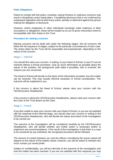# **False Allegations**

Failure to comply with this policy, including, raising frivolous or malicious concerns may result in disciplinary action being taken. A qualifying disclosure that is not confirmed by subsequent legislation will not lead toany action, penalty or detriment against the person making the allegation or disclosure.

However, where employees or other individuals knowingly make malicious or false accusations or allegations, these will be treated as an act of gross misconduct which is incompatible with their duties to the Trust.

## **Procedure for raising a concern**

Raising concerns will be dealt with under the following stages. Not all concerns will follow the full sequence of stages, subject to the particular circumstances of each case. The action taken by the Trust will be reasonable and proportionate, depending on the nature of the concern.

### Stage 1 – Informal

You should first raise your concern, in writing, to your Head of School, to see if it can be resolved without a formal procedure. Give as much information as possible about the nature of the problem; the background (with dates if possible); who is involved; the reasons you are concerned.

The Head of School will decide on the basis of the information provided, how the matter can be resolved. This may include informal resolution or formal consideration. The outcome will be explained to you.

If the concern is about the Head of School, please raise your concern with the CEO/Executive Headteacher.

If the concern is about the CEO/Executive Headteacher, please raise your concern with the Chair of the Trust Board via the Clerk.

#### Stage 2 – Formal

If you feel unable to raise your concern with your Head of School, or you are not satisfied with the response at the informal stage, you should raise your concern in writing to the CEO/Executive Headteacher, who will decide the nature and extent of the investigation to be carried out.

The outcome of the investigation will be considered carefully by the CEO/Executive Headteacher, who will decide whether any further action is necessary and/or to implement any recommendations. If the result of the investigation is that there is a case to be answered by any individual, the recognised procedure will be followed.

The amount of contact between you and the officers considering the issues raised will depend on the nature of the matters raised, however, you will be asked to indicate how much contact you would prefer.

Subject to confidentiality, you will be informed of the outcome of the investigation and how the matter has been resolved. If you are not satisfied with this response you may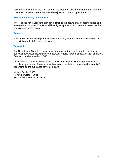raise your concern with the Chair of the Trust Board or take the matter further with the prescribed persons or organisations where justified under this procedure.

#### **How will the Policy be monitored?**

The Trustees have a responsibility for registering the nature of all concerns raised and to record the outcome. The Trust will identify any patterns of concern and assesses the effectiveness of the Policy.

#### **Review**

This procedure will be kept under review and any amendments will be subject to consultation with staff representatives.

#### **Complaints**

The Secretary of State for Education is the prescribed person for matters relating to education for whistle blowers who do not want to raise matters direct with their employer. Concerns can be raised with DfE.

Volunteers who have concerns about schools should complain through the school's complaints procedure. They may also be able to complain to the local authority or DfE depending on the substance of the complaint.

Written October 2020 Reviewed October 2021 Next review date October 2022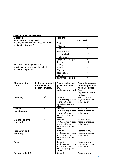| Question                                                                                          | <b>Response</b>        |             |
|---------------------------------------------------------------------------------------------------|------------------------|-------------|
| Which relevant groups and<br>stakeholders have been consulted with in<br>relation to this policy? |                        | Please tick |
|                                                                                                   | <b>Pupils</b>          |             |
|                                                                                                   | <b>Trustees</b>        |             |
|                                                                                                   | <b>Staff</b>           |             |
|                                                                                                   | Parents/Carers         |             |
|                                                                                                   | <b>Local Authority</b> |             |
|                                                                                                   | <b>Trade Unions</b>    |             |
|                                                                                                   | Other Advisors (give   |             |
|                                                                                                   | details)               | <b>HR</b>   |
| What are the arrangements for<br>monitoring and reviewing the actual<br>impact of the policy?     | Termly                 |             |
|                                                                                                   | Annually               |             |
|                                                                                                   | When applied           |             |
|                                                                                                   | If legislation         |             |
|                                                                                                   | changes                |             |
|                                                                                                   | If a formal complaint  |             |

## **Equality Impact Assessment**

| negative impact?<br>any<br>evidence/data used                                                                                                                     | (e.g.<br>adjustment to the<br>policy)                                       |
|-------------------------------------------------------------------------------------------------------------------------------------------------------------------|-----------------------------------------------------------------------------|
| Review if<br>✓<br><b>Disability</b><br>whistleblowing relates<br>to one particular<br>protected group over<br>others                                              | Respond to any<br>negative impact on<br>individual groups                   |
| Review if<br>Gender<br>whistleblowing relates<br>reassignment<br>to one particular<br>protected group over<br>others                                              | Respond to any<br>negative impact on<br>individual groups                   |
| Review if<br><b>Marriage or civil</b><br>whistleblowing relates<br>partnership<br>to one particular<br>protected group over<br>others                             | Respond to any<br>negative impact on<br>individual groups                   |
| Review if<br><b>Pregnancy and</b><br>whistleblowing relates<br>maternity<br>to one particular<br>protected group over<br>others                                   | Respond to any<br>negative impact on<br>individual groups                   |
| ✓<br>Review if<br>Race<br>whistleblowing relates<br>to one particular<br>protected group over<br>others<br>$\checkmark$<br>Review if<br><b>Religion or belief</b> | Respond to any<br>negative impact on<br>individual groups<br>Respond to any |